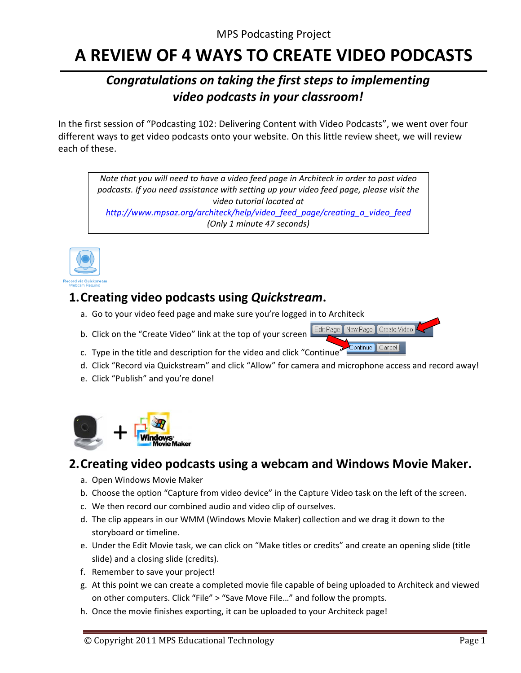# A REVIEW OF 4 WAYS TO CREATE VIDEO PODCASTS

## Congratulations on taking the first steps to implementing video podcasts in your classroom!

In the first session of "Podcasting 102: Delivering Content with Video Podcasts", we went over four different ways to get video podcasts onto your website. On this little review sheet, we will review each of these.

Note that you will need to have a video feed page in Architeck in order to post video podcasts. If you need assistance with setting up your video feed page, please visit the video tutorial located at http://www.mpsaz.org/architeck/help/video feed page/creating a video feed (Only 1 minute 47 seconds)



#### 1. Creating video podcasts using Quickstream.

- a. Go to your video feed page and make sure you're logged in to Architeck
- b. Click on the "Create Video" link at the top of your screen

Edit Page New Page Create Video  $\text{Continue}$ Cancel<sup>®</sup>

- c. Type in the title and description for the video and click "Continue"
- d. Click "Record via Quickstream" and click "Allow" for camera and microphone access and record away!
- e. Click "Publish" and you're done!



## 2. Creating video podcasts using a webcam and Windows Movie Maker.

- a. Open Windows Movie Maker
- b. Choose the option "Capture from video device" in the Capture Video task on the left of the screen.
- c. We then record our combined audio and video clip of ourselves.
- d. The clip appears in our WMM (Windows Movie Maker) collection and we drag it down to the storyboard or timeline.
- e. Under the Edit Movie task, we can click on "Make titles or credits" and create an opening slide (title slide) and a closing slide (credits).
- f. Remember to save your project!
- g. At this point we can create a completed movie file capable of being uploaded to Architeck and viewed on other computers. Click "File" > "Save Move File..." and follow the prompts.
- h. Once the movie finishes exporting, it can be uploaded to your Architeck page!